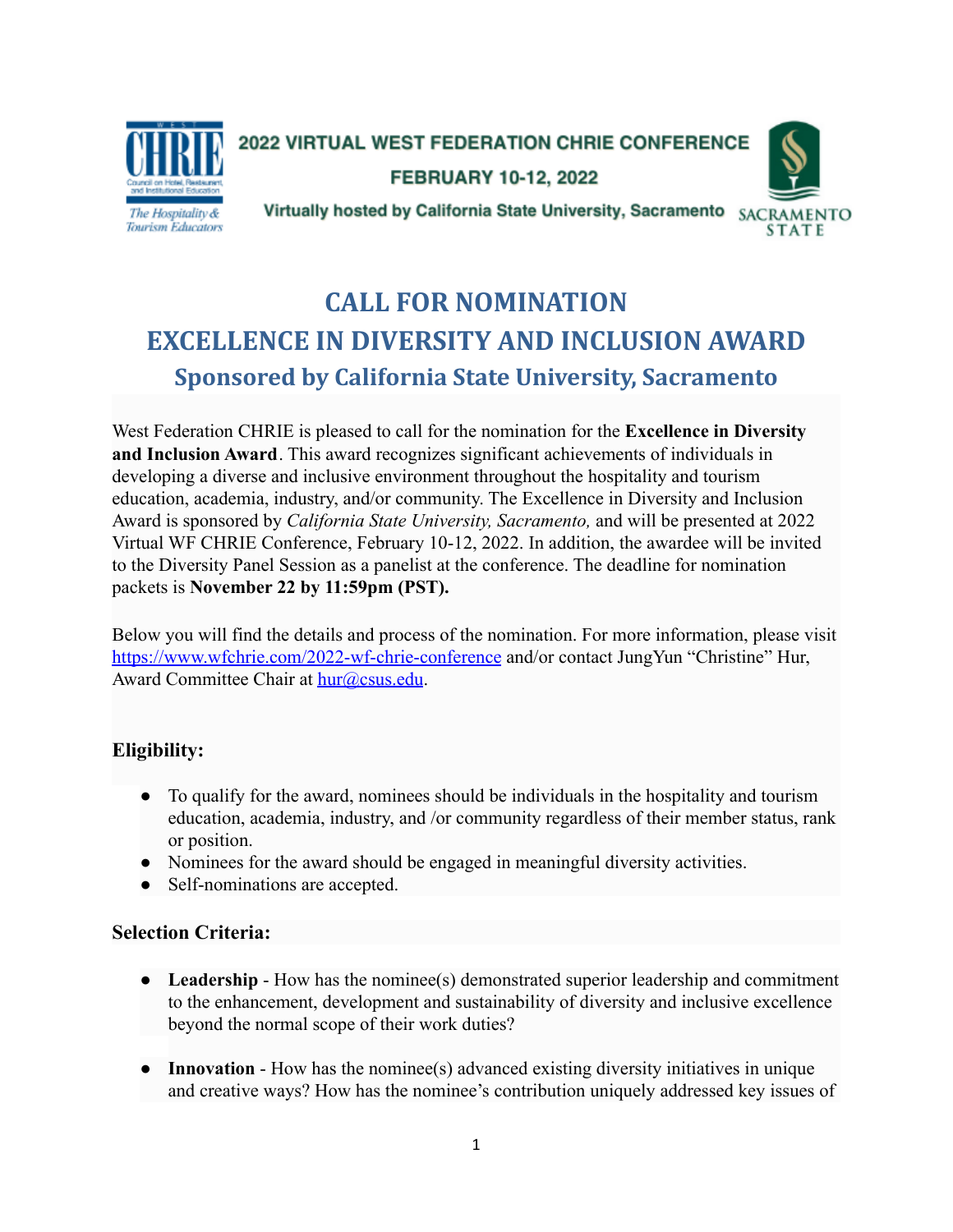

2022 VIRTUAL WEST FEDERATION CHRIE CONFERENCE

FEBRUARY 10-12, 2022



Virtually hosted by California State University, Sacramento SACRAMENTO

# **CALL FOR NOMINATION EXCELLENCE IN DIVERSITY AND INCLUSION AWARD Sponsored by California State University, Sacramento**

West Federation CHRIE is pleased to call for the nomination for the **Excellence in Diversity and Inclusion Award**. This award recognizes significant achievements of individuals in developing a diverse and inclusive environment throughout the hospitality and tourism education, academia, industry, and/or community. The Excellence in Diversity and Inclusion Award is sponsored by *California State University, Sacramento,* and will be presented at 2022 Virtual WF CHRIE Conference, February 10-12, 2022. In addition, the awardee will be invited to the Diversity Panel Session as a panelist at the conference. The deadline for nomination packets is **November 22 by 11:59pm (PST).**

Below you will find the details and process of the nomination. For more information, please visit <https://www.wfchrie.com/2022-wf-chrie-conference> and/or contact JungYun "Christine" Hur, Award Committee Chair at [hur@csus.edu](mailto:hur@csus.edu).

## **Eligibility:**

- **●** To qualify for the award, nominees should be individuals in the hospitality and tourism education, academia, industry, and /or community regardless of their member status, rank or position.
- Nominees for the award should be engaged in meaningful diversity activities.
- Self-nominations are accepted.

### **Selection Criteria:**

- **Leadership** How has the nominee(s) demonstrated superior leadership and commitment to the enhancement, development and sustainability of diversity and inclusive excellence beyond the normal scope of their work duties?
- **Innovation** How has the nominee(s) advanced existing diversity initiatives in unique and creative ways? How has the nominee's contribution uniquely addressed key issues of